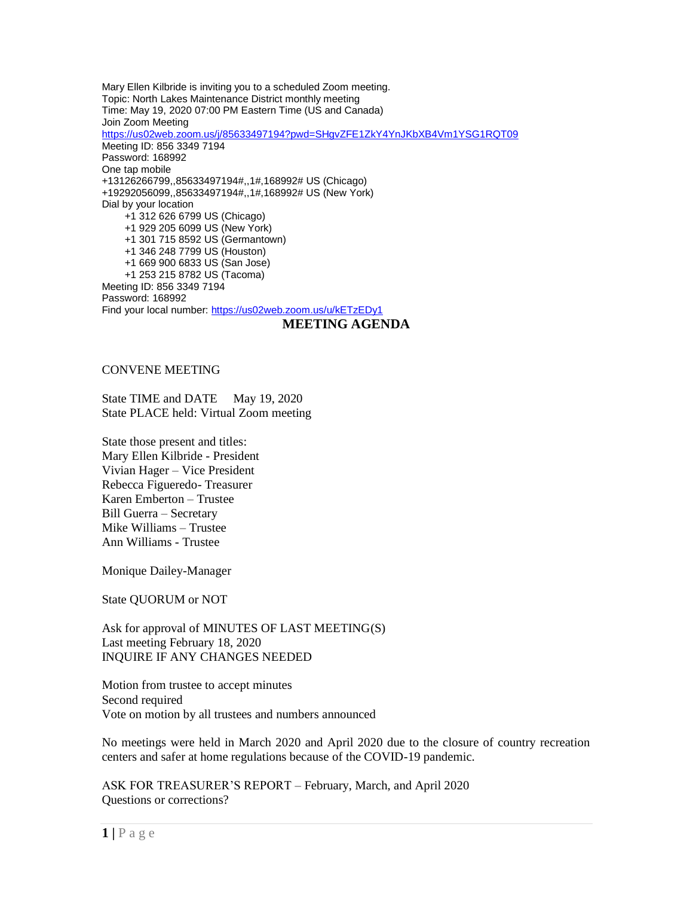Mary Ellen Kilbride is inviting you to a scheduled Zoom meeting. Topic: North Lakes Maintenance District monthly meeting Time: May 19, 2020 07:00 PM Eastern Time (US and Canada) Join Zoom Meeting <https://us02web.zoom.us/j/85633497194?pwd=SHgvZFE1ZkY4YnJKbXB4Vm1YSG1RQT09> Meeting ID: 856 3349 7194 Password: 168992 One tap mobile +13126266799,,85633497194#,,1#,168992# US (Chicago) +19292056099,,85633497194#,,1#,168992# US (New York) Dial by your location +1 312 626 6799 US (Chicago) +1 929 205 6099 US (New York) +1 301 715 8592 US (Germantown) +1 346 248 7799 US (Houston) +1 669 900 6833 US (San Jose) +1 253 215 8782 US (Tacoma) Meeting ID: 856 3349 7194 Password: 168992 Find your local number: <https://us02web.zoom.us/u/kETzEDy1> **MEETING AGENDA**

## CONVENE MEETING

State TIME and DATE May 19, 2020 State PLACE held: Virtual Zoom meeting

State those present and titles: Mary Ellen Kilbride - President Vivian Hager – Vice President Rebecca Figueredo- Treasurer Karen Emberton – Trustee Bill Guerra – Secretary Mike Williams – Trustee Ann Williams - Trustee

Monique Dailey-Manager

State QUORUM or NOT

Ask for approval of MINUTES OF LAST MEETING(S) Last meeting February 18, 2020 INQUIRE IF ANY CHANGES NEEDED

Motion from trustee to accept minutes Second required Vote on motion by all trustees and numbers announced

No meetings were held in March 2020 and April 2020 due to the closure of country recreation centers and safer at home regulations because of the COVID-19 pandemic.

ASK FOR TREASURER'S REPORT – February, March, and April 2020 Questions or corrections?